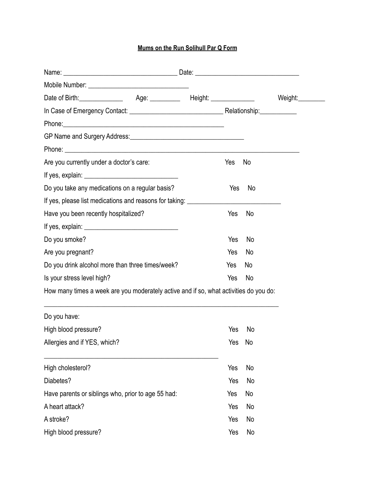## **Mums on the Run Solihull Par Q Form**

|                                                                                       | Weight:__________ |  |
|---------------------------------------------------------------------------------------|-------------------|--|
|                                                                                       |                   |  |
|                                                                                       |                   |  |
|                                                                                       |                   |  |
|                                                                                       |                   |  |
| Are you currently under a doctor's care:                                              | Yes<br>No         |  |
|                                                                                       |                   |  |
| Do you take any medications on a regular basis?                                       | No<br>Yes         |  |
| If yes, please list medications and reasons for taking: ________________________      |                   |  |
| Have you been recently hospitalized?                                                  | Yes<br>No         |  |
|                                                                                       |                   |  |
| Do you smoke?                                                                         | Yes<br>No         |  |
| Are you pregnant?                                                                     | Yes<br>No         |  |
| Do you drink alcohol more than three times/week?                                      | Yes<br>No         |  |
| Is your stress level high?                                                            | Yes<br>No         |  |
| How many times a week are you moderately active and if so, what activities do you do: |                   |  |
| Do you have:                                                                          |                   |  |
| High blood pressure?                                                                  | Yes<br>No         |  |
| Allergies and if YES, which?                                                          | Yes No            |  |
| High cholesterol?                                                                     | Yes<br>No         |  |
| Diabetes?                                                                             | Yes<br>No         |  |
| Have parents or siblings who, prior to age 55 had:                                    | Yes<br>No         |  |
| A heart attack?                                                                       | Yes<br>No         |  |
| A stroke?                                                                             | Yes<br>No         |  |
| High blood pressure?                                                                  | Yes<br>No         |  |